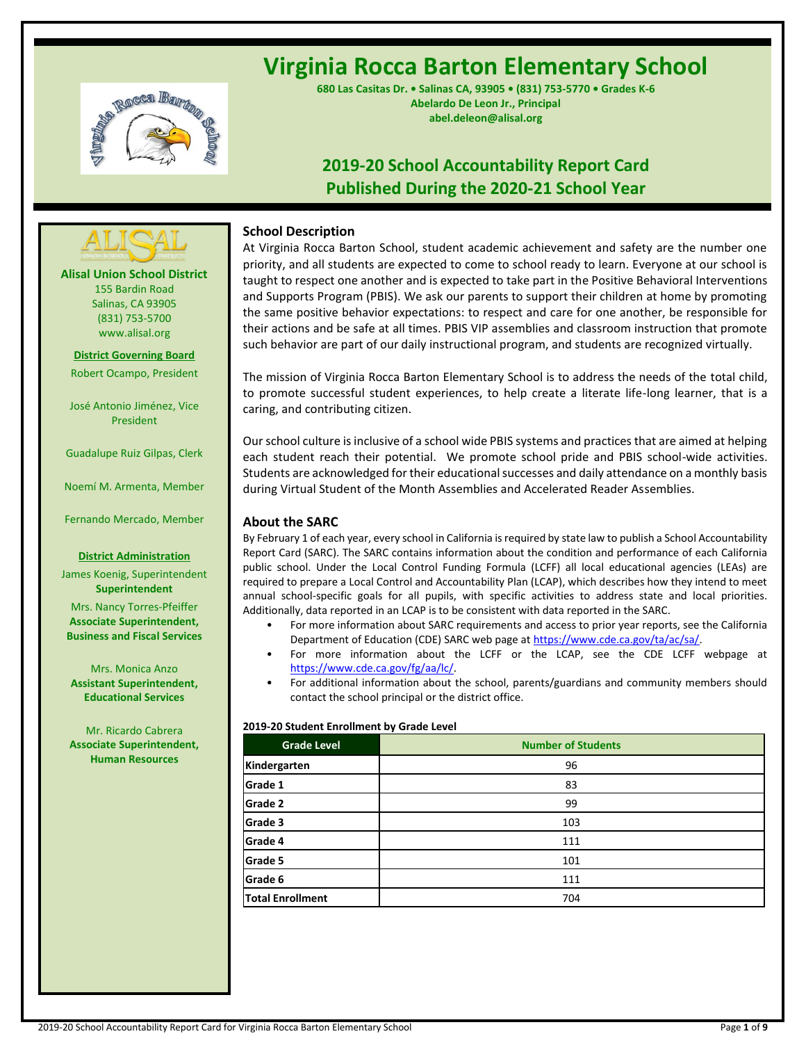

# **Virginia Rocca Barton Elementary School**

**680 Las Casitas Dr. • Salinas CA, 93905 • (831) 753-5770 • Grades K-6 Abelardo De Leon Jr., Principal abel.deleon@alisal.org**

## **2019-20 School Accountability Report Card Published During the 2020-21 School Year**



**Alisal Union School District** 155 Bardin Road Salinas, CA 93905 (831) 753-5700 www.alisal.org

**District Governing Board** Robert Ocampo, President

José Antonio Jiménez, Vice President

Guadalupe Ruiz Gilpas, Clerk

Noemí M. Armenta, Member

Fernando Mercado, Member

#### **District Administration**

James Koenig, Superintendent **Superintendent** Mrs. Nancy Torres-Pfeiffer **Associate Superintendent, Business and Fiscal Services**

Mrs. Monica Anzo **Assistant Superintendent, Educational Services**

Mr. Ricardo Cabrera **Associate Superintendent, Human Resources**

## **School Description**

At Virginia Rocca Barton School, student academic achievement and safety are the number one priority, and all students are expected to come to school ready to learn. Everyone at our school is taught to respect one another and is expected to take part in the Positive Behavioral Interventions and Supports Program (PBIS). We ask our parents to support their children at home by promoting the same positive behavior expectations: to respect and care for one another, be responsible for their actions and be safe at all times. PBIS VIP assemblies and classroom instruction that promote such behavior are part of our daily instructional program, and students are recognized virtually.

The mission of Virginia Rocca Barton Elementary School is to address the needs of the total child, to promote successful student experiences, to help create a literate life-long learner, that is a caring, and contributing citizen.

Our school culture is inclusive of a school wide PBIS systems and practices that are aimed at helping each student reach their potential. We promote school pride and PBIS school-wide activities. Students are acknowledged for their educational successes and daily attendance on a monthly basis during Virtual Student of the Month Assemblies and Accelerated Reader Assemblies.

## **About the SARC**

By February 1 of each year, every school in California is required by state law to publish a School Accountability Report Card (SARC). The SARC contains information about the condition and performance of each California public school. Under the Local Control Funding Formula (LCFF) all local educational agencies (LEAs) are required to prepare a Local Control and Accountability Plan (LCAP), which describes how they intend to meet annual school-specific goals for all pupils, with specific activities to address state and local priorities. Additionally, data reported in an LCAP is to be consistent with data reported in the SARC.

- For more information about SARC requirements and access to prior year reports, see the California Department of Education (CDE) SARC web page a[t https://www.cde.ca.gov/ta/ac/sa/.](https://www.cde.ca.gov/ta/ac/sa/)
- For more information about the LCFF or the LCAP, see the CDE LCFF webpage at [https://www.cde.ca.gov/fg/aa/lc/.](https://www.cde.ca.gov/fg/aa/lc/)
- For additional information about the school, parents/guardians and community members should contact the school principal or the district office.

## **2019-20 Student Enrollment by Grade Level**

| <b>Grade Level</b>      | <b>Number of Students</b> |
|-------------------------|---------------------------|
| Kindergarten            | 96                        |
| Grade 1                 | 83                        |
| <b>Grade 2</b>          | 99                        |
| Grade 3                 | 103                       |
| Grade 4                 | 111                       |
| Grade 5                 | 101                       |
| Grade 6                 | 111                       |
| <b>Total Enrollment</b> | 704                       |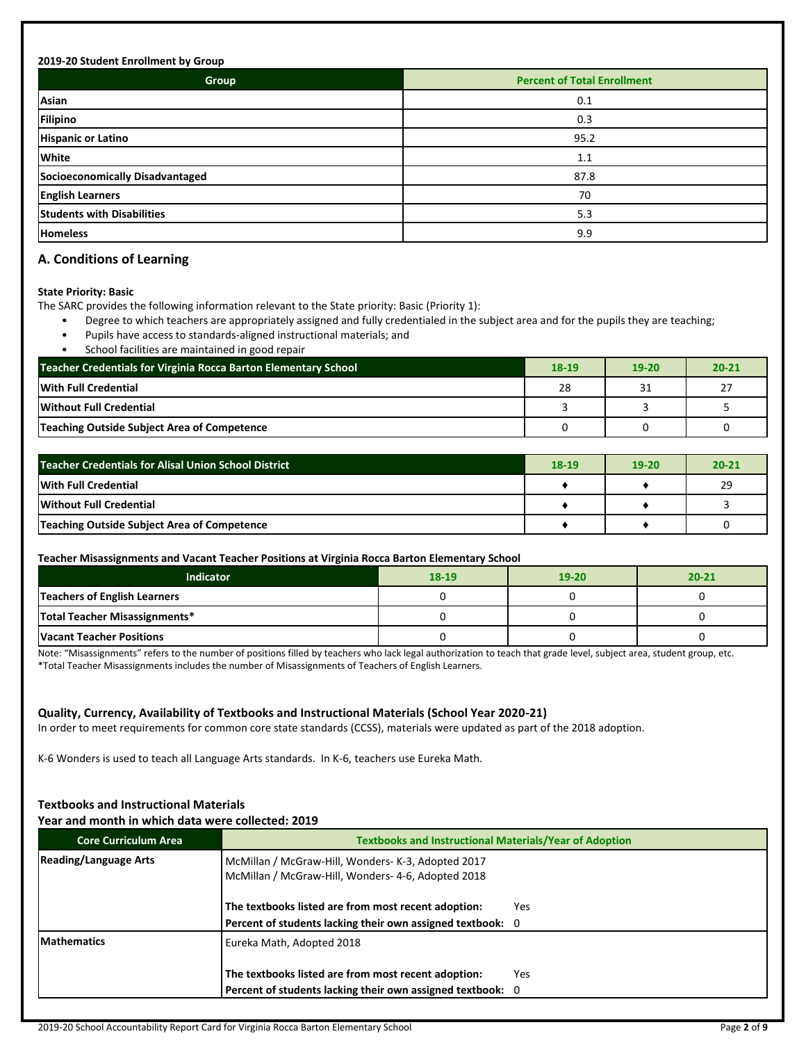#### **2019-20 Student Enrollment by Group**

| Group                             | <b>Percent of Total Enrollment</b> |
|-----------------------------------|------------------------------------|
| Asian                             | 0.1                                |
| Filipino                          | 0.3                                |
| <b>Hispanic or Latino</b>         | 95.2                               |
| White                             | 1.1                                |
| Socioeconomically Disadvantaged   | 87.8                               |
| <b>English Learners</b>           | 70                                 |
| <b>Students with Disabilities</b> | 5.3                                |
| <b>Homeless</b>                   | 9.9                                |

## **A. Conditions of Learning**

#### **State Priority: Basic**

The SARC provides the following information relevant to the State priority: Basic (Priority 1):

- Degree to which teachers are appropriately assigned and fully credentialed in the subject area and for the pupils they are teaching;
- Pupils have access to standards-aligned instructional materials; and
- School facilities are maintained in good repair

| Teacher Credentials for Virginia Rocca Barton Elementary School | 18-19 | $19 - 20$ | $20 - 21$ |
|-----------------------------------------------------------------|-------|-----------|-----------|
| With Full Credential                                            | 28    | 31        | 27        |
| <b>Without Full Credential</b>                                  |       |           |           |
| Teaching Outside Subject Area of Competence                     |       |           |           |

| Teacher Credentials for Alisal Union School District | $18-19$ | $19-20$ | $20 - 21$ |
|------------------------------------------------------|---------|---------|-----------|
| With Full Credential                                 |         |         | 29        |
| <b>Without Full Credential</b>                       |         |         |           |
| Teaching Outside Subject Area of Competence          |         |         |           |

#### **Teacher Misassignments and Vacant Teacher Positions at Virginia Rocca Barton Elementary School**

| <b>Indicator</b>                | 18-19 | $19 - 20$ | $20 - 21$ |
|---------------------------------|-------|-----------|-----------|
| Teachers of English Learners    |       |           |           |
| Total Teacher Misassignments*   |       |           |           |
| <b>Vacant Teacher Positions</b> |       |           |           |

Note: "Misassignments" refers to the number of positions filled by teachers who lack legal authorization to teach that grade level, subject area, student group, etc. \*Total Teacher Misassignments includes the number of Misassignments of Teachers of English Learners.

## **Quality, Currency, Availability of Textbooks and Instructional Materials (School Year 2020-21)**

In order to meet requirements for common core state standards (CCSS), materials were updated as part of the 2018 adoption.

K-6 Wonders is used to teach all Language Arts standards. In K-6, teachers use Eureka Math.

## **Textbooks and Instructional Materials**

#### **Year and month in which data were collected: 2019**

| <b>Core Curriculum Area</b>  | <b>Textbooks and Instructional Materials/Year of Adoption</b>                                            |  |  |  |
|------------------------------|----------------------------------------------------------------------------------------------------------|--|--|--|
| <b>Reading/Language Arts</b> | McMillan / McGraw-Hill, Wonders- K-3, Adopted 2017<br>McMillan / McGraw-Hill, Wonders- 4-6, Adopted 2018 |  |  |  |
|                              | The textbooks listed are from most recent adoption:<br>Yes                                               |  |  |  |
|                              | Percent of students lacking their own assigned textbook: 0                                               |  |  |  |
| <b>IMathematics</b>          | Eureka Math, Adopted 2018                                                                                |  |  |  |
|                              | The textbooks listed are from most recent adoption:<br>Yes                                               |  |  |  |
|                              | Percent of students lacking their own assigned textbook: 0                                               |  |  |  |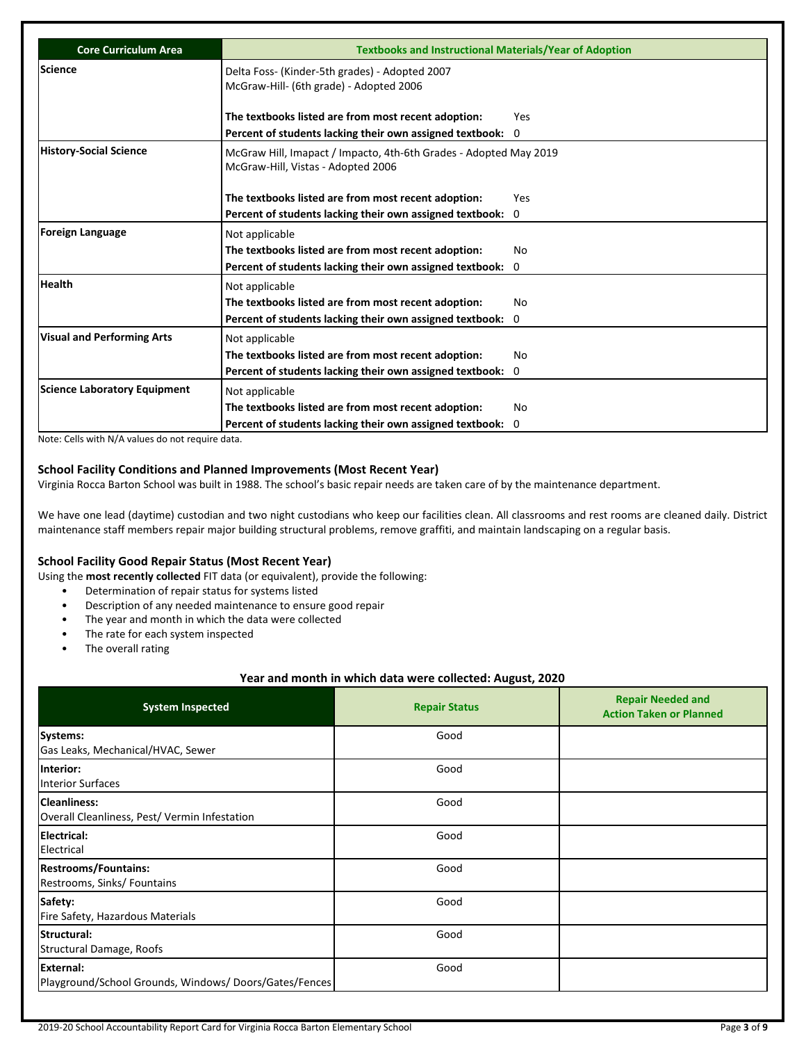| Core Curriculum Area                | <b>Textbooks and Instructional Materials/Year of Adoption</b>                                           |          |
|-------------------------------------|---------------------------------------------------------------------------------------------------------|----------|
| Science                             | Delta Foss- (Kinder-5th grades) - Adopted 2007<br>McGraw-Hill- (6th grade) - Adopted 2006               |          |
|                                     | The textbooks listed are from most recent adoption:                                                     | Yes      |
|                                     | Percent of students lacking their own assigned textbook: 0                                              |          |
| <b>History-Social Science</b>       | McGraw Hill, Imapact / Impacto, 4th-6th Grades - Adopted May 2019<br>McGraw-Hill, Vistas - Adopted 2006 |          |
|                                     | The textbooks listed are from most recent adoption:                                                     | Yes      |
|                                     | Percent of students lacking their own assigned textbook: 0                                              |          |
| <b>Foreign Language</b>             | Not applicable                                                                                          |          |
|                                     | The textbooks listed are from most recent adoption:                                                     | No       |
|                                     | Percent of students lacking their own assigned textbook:                                                | $\Omega$ |
| <b>Health</b>                       | Not applicable                                                                                          |          |
|                                     | The textbooks listed are from most recent adoption:                                                     | No       |
|                                     | Percent of students lacking their own assigned textbook: 0                                              |          |
| <b>Visual and Performing Arts</b>   | Not applicable                                                                                          |          |
|                                     | The textbooks listed are from most recent adoption:                                                     | No       |
|                                     | Percent of students lacking their own assigned textbook: 0                                              |          |
| <b>Science Laboratory Equipment</b> | Not applicable                                                                                          |          |
|                                     | The textbooks listed are from most recent adoption:                                                     | No       |
|                                     | Percent of students lacking their own assigned textbook:                                                | $\Omega$ |

Note: Cells with N/A values do not require data.

## **School Facility Conditions and Planned Improvements (Most Recent Year)**

Virginia Rocca Barton School was built in 1988. The school's basic repair needs are taken care of by the maintenance department.

We have one lead (daytime) custodian and two night custodians who keep our facilities clean. All classrooms and rest rooms are cleaned daily. District maintenance staff members repair major building structural problems, remove graffiti, and maintain landscaping on a regular basis.

## **School Facility Good Repair Status (Most Recent Year)**

Using the **most recently collected** FIT data (or equivalent), provide the following:

- Determination of repair status for systems listed
- Description of any needed maintenance to ensure good repair
- The year and month in which the data were collected
- The rate for each system inspected
- The overall rating

## **Year and month in which data were collected: August, 2020**

| <b>System Inspected</b>                                                   | <b>Repair Status</b> | <b>Repair Needed and</b><br><b>Action Taken or Planned</b> |
|---------------------------------------------------------------------------|----------------------|------------------------------------------------------------|
| Systems:<br>Gas Leaks, Mechanical/HVAC, Sewer                             | Good                 |                                                            |
| Interior:<br><b>Interior Surfaces</b>                                     | Good                 |                                                            |
| <b>Cleanliness:</b><br>Overall Cleanliness, Pest/Vermin Infestation       | Good                 |                                                            |
| <b>Electrical:</b><br>Electrical                                          | Good                 |                                                            |
| <b>Restrooms/Fountains:</b><br>Restrooms, Sinks/ Fountains                | Good                 |                                                            |
| Safety:<br>Fire Safety, Hazardous Materials                               | Good                 |                                                            |
| Structural:<br>Structural Damage, Roofs                                   | Good                 |                                                            |
| <b>External:</b><br>Playground/School Grounds, Windows/Doors/Gates/Fences | Good                 |                                                            |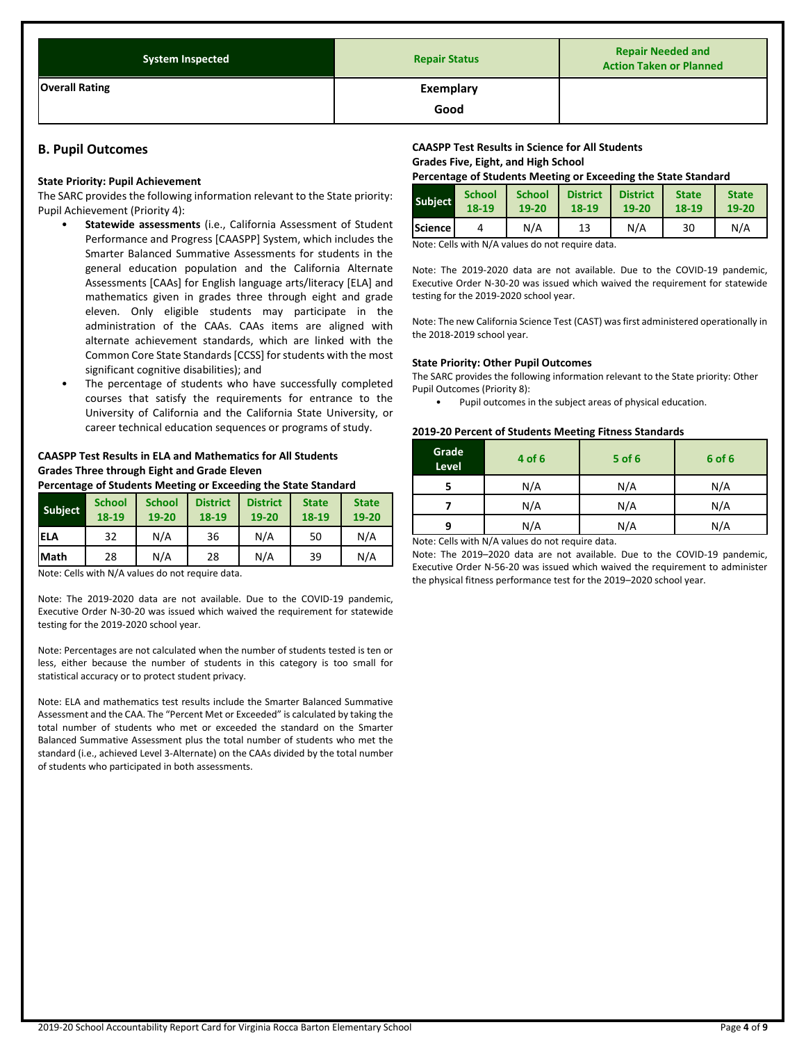| <b>System Inspected</b> | <b>Repair Status</b>     | <b>Repair Needed and</b><br><b>Action Taken or Planned</b> |
|-------------------------|--------------------------|------------------------------------------------------------|
| <b>Overall Rating</b>   | <b>Exemplary</b><br>Good |                                                            |

## **B. Pupil Outcomes**

#### **State Priority: Pupil Achievement**

The SARC provides the following information relevant to the State priority: Pupil Achievement (Priority 4):

- **Statewide assessments** (i.e., California Assessment of Student Performance and Progress [CAASPP] System, which includes the Smarter Balanced Summative Assessments for students in the general education population and the California Alternate Assessments [CAAs] for English language arts/literacy [ELA] and mathematics given in grades three through eight and grade eleven. Only eligible students may participate in the administration of the CAAs. CAAs items are aligned with alternate achievement standards, which are linked with the Common Core State Standards [CCSS] for students with the most significant cognitive disabilities); and
- The percentage of students who have successfully completed courses that satisfy the requirements for entrance to the University of California and the California State University, or career technical education sequences or programs of study.

## **CAASPP Test Results in ELA and Mathematics for All Students Grades Three through Eight and Grade Eleven**

**Percentage of Students Meeting or Exceeding the State Standard**

| Subject     | <b>School</b><br>18-19 | <b>School</b><br>19-20 | <b>District</b><br>18-19 | <b>District</b><br>19-20 | <b>State</b><br>18-19 | <b>State</b><br>19-20 |
|-------------|------------------------|------------------------|--------------------------|--------------------------|-----------------------|-----------------------|
| <b>IELA</b> | 32                     | N/A                    | 36                       | N/A                      | 50                    | N/A                   |
| Math        | 28                     | N/A                    | 28                       | N/A                      | 39                    | N/A                   |

Note: Cells with N/A values do not require data.

Note: The 2019-2020 data are not available. Due to the COVID-19 pandemic, Executive Order N-30-20 was issued which waived the requirement for statewide testing for the 2019-2020 school year.

Note: Percentages are not calculated when the number of students tested is ten or less, either because the number of students in this category is too small for statistical accuracy or to protect student privacy.

Note: ELA and mathematics test results include the Smarter Balanced Summative Assessment and the CAA. The "Percent Met or Exceeded" is calculated by taking the total number of students who met or exceeded the standard on the Smarter Balanced Summative Assessment plus the total number of students who met the standard (i.e., achieved Level 3-Alternate) on the CAAs divided by the total number of students who participated in both assessments.

## **CAASPP Test Results in Science for All Students Grades Five, Eight, and High School**

**Percentage of Students Meeting or Exceeding the State Standard**

| <b>Subject</b>   | <b>School</b> | <b>School</b> | <b>District</b> | <b>District</b> | <b>State</b> | <b>State</b> |
|------------------|---------------|---------------|-----------------|-----------------|--------------|--------------|
|                  | 18-19         | 19-20         | 18-19           | 19-20           | 18-19        | 19-20        |
| <b>Science</b> l |               | N/A           | 13              | N/A             | 30           | N/A          |

Note: Cells with N/A values do not require data.

Note: The 2019-2020 data are not available. Due to the COVID-19 pandemic, Executive Order N-30-20 was issued which waived the requirement for statewide testing for the 2019-2020 school year.

Note: The new California Science Test (CAST) was first administered operationally in the 2018-2019 school year.

#### **State Priority: Other Pupil Outcomes**

The SARC provides the following information relevant to the State priority: Other Pupil Outcomes (Priority 8):

• Pupil outcomes in the subject areas of physical education.

#### **2019-20 Percent of Students Meeting Fitness Standards**

| Grade<br>Level | 4 of 6 | 5 of 6 | 6 of 6 |
|----------------|--------|--------|--------|
|                | N/A    | N/A    | N/A    |
|                | N/A    | N/A    | N/A    |
| q              | N/A    | N/A    | N/A    |

Note: Cells with N/A values do not require data.

Note: The 2019–2020 data are not available. Due to the COVID-19 pandemic, Executive Order N-56-20 was issued which waived the requirement to administer the physical fitness performance test for the 2019–2020 school year.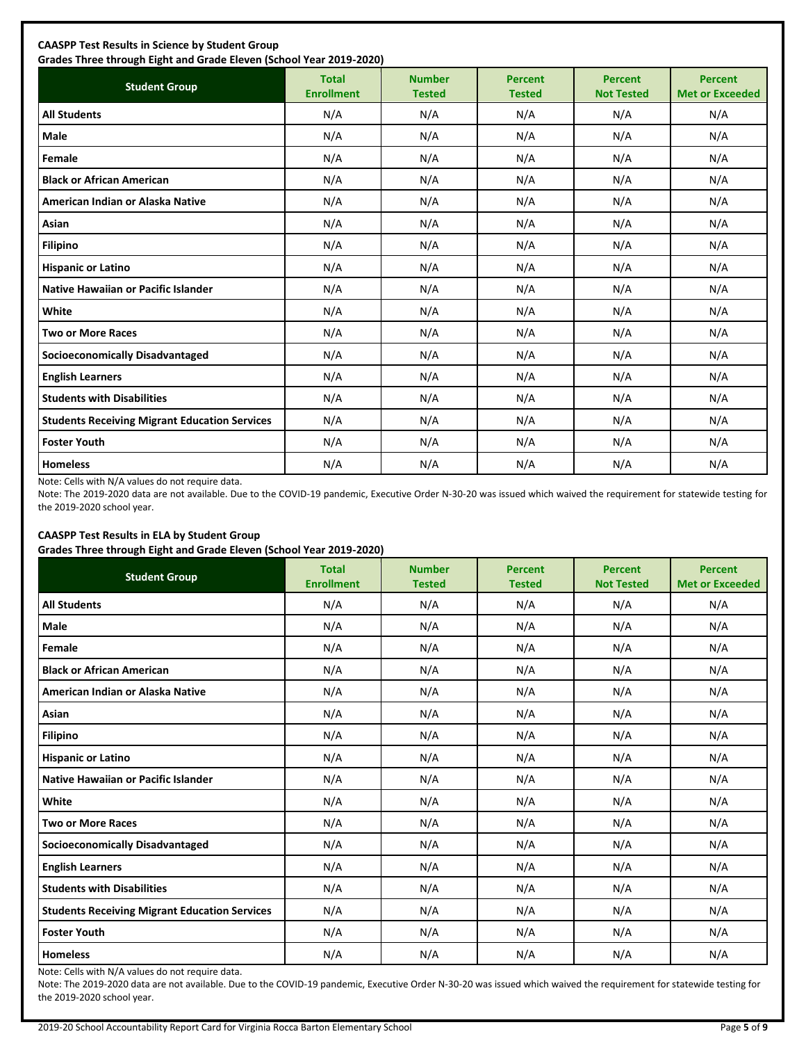| <b>Student Group</b>                                 | <b>Total</b><br><b>Enrollment</b> | <b>Number</b><br><b>Tested</b> | <b>Percent</b><br><b>Tested</b> | <b>Percent</b><br><b>Not Tested</b> | <b>Percent</b><br><b>Met or Exceeded</b> |
|------------------------------------------------------|-----------------------------------|--------------------------------|---------------------------------|-------------------------------------|------------------------------------------|
| <b>All Students</b>                                  | N/A                               | N/A                            | N/A                             | N/A                                 | N/A                                      |
| <b>Male</b>                                          | N/A                               | N/A                            | N/A                             | N/A                                 | N/A                                      |
| Female                                               | N/A                               | N/A                            | N/A                             | N/A                                 | N/A                                      |
| <b>Black or African American</b>                     | N/A                               | N/A                            | N/A                             | N/A                                 | N/A                                      |
| American Indian or Alaska Native                     | N/A                               | N/A                            | N/A                             | N/A                                 | N/A                                      |
| Asian                                                | N/A                               | N/A                            | N/A                             | N/A                                 | N/A                                      |
| <b>Filipino</b>                                      | N/A                               | N/A                            | N/A                             | N/A                                 | N/A                                      |
| <b>Hispanic or Latino</b>                            | N/A                               | N/A                            | N/A                             | N/A                                 | N/A                                      |
| Native Hawaiian or Pacific Islander                  | N/A                               | N/A                            | N/A                             | N/A                                 | N/A                                      |
| White                                                | N/A                               | N/A                            | N/A                             | N/A                                 | N/A                                      |
| <b>Two or More Races</b>                             | N/A                               | N/A                            | N/A                             | N/A                                 | N/A                                      |
| <b>Socioeconomically Disadvantaged</b>               | N/A                               | N/A                            | N/A                             | N/A                                 | N/A                                      |
| <b>English Learners</b>                              | N/A                               | N/A                            | N/A                             | N/A                                 | N/A                                      |
| <b>Students with Disabilities</b>                    | N/A                               | N/A                            | N/A                             | N/A                                 | N/A                                      |
| <b>Students Receiving Migrant Education Services</b> | N/A                               | N/A                            | N/A                             | N/A                                 | N/A                                      |
| <b>Foster Youth</b>                                  | N/A                               | N/A                            | N/A                             | N/A                                 | N/A                                      |
| <b>Homeless</b>                                      | N/A                               | N/A                            | N/A                             | N/A                                 | N/A                                      |

Note: Cells with N/A values do not require data.

Note: The 2019-2020 data are not available. Due to the COVID-19 pandemic, Executive Order N-30-20 was issued which waived the requirement for statewide testing for the 2019-2020 school year.

## **CAASPP Test Results in ELA by Student Group**

**Grades Three through Eight and Grade Eleven (School Year 2019-2020)**

| <b>Student Group</b>                                 | <b>Total</b><br><b>Enrollment</b> | <b>Number</b><br><b>Tested</b> | <b>Percent</b><br><b>Tested</b> | <b>Percent</b><br><b>Not Tested</b> | <b>Percent</b><br><b>Met or Exceeded</b> |
|------------------------------------------------------|-----------------------------------|--------------------------------|---------------------------------|-------------------------------------|------------------------------------------|
| <b>All Students</b>                                  | N/A                               | N/A                            | N/A                             | N/A                                 | N/A                                      |
| Male                                                 | N/A                               | N/A                            | N/A                             | N/A                                 | N/A                                      |
| Female                                               | N/A                               | N/A                            | N/A                             | N/A                                 | N/A                                      |
| <b>Black or African American</b>                     | N/A                               | N/A                            | N/A                             | N/A                                 | N/A                                      |
| American Indian or Alaska Native                     | N/A                               | N/A                            | N/A                             | N/A                                 | N/A                                      |
| Asian                                                | N/A                               | N/A                            | N/A                             | N/A                                 | N/A                                      |
| <b>Filipino</b>                                      | N/A                               | N/A                            | N/A                             | N/A                                 | N/A                                      |
| <b>Hispanic or Latino</b>                            | N/A                               | N/A                            | N/A                             | N/A                                 | N/A                                      |
| Native Hawaiian or Pacific Islander                  | N/A                               | N/A                            | N/A                             | N/A                                 | N/A                                      |
| White                                                | N/A                               | N/A                            | N/A                             | N/A                                 | N/A                                      |
| <b>Two or More Races</b>                             | N/A                               | N/A                            | N/A                             | N/A                                 | N/A                                      |
| <b>Socioeconomically Disadvantaged</b>               | N/A                               | N/A                            | N/A                             | N/A                                 | N/A                                      |
| <b>English Learners</b>                              | N/A                               | N/A                            | N/A                             | N/A                                 | N/A                                      |
| <b>Students with Disabilities</b>                    | N/A                               | N/A                            | N/A                             | N/A                                 | N/A                                      |
| <b>Students Receiving Migrant Education Services</b> | N/A                               | N/A                            | N/A                             | N/A                                 | N/A                                      |
| <b>Foster Youth</b>                                  | N/A                               | N/A                            | N/A                             | N/A                                 | N/A                                      |
| <b>Homeless</b>                                      | N/A                               | N/A                            | N/A                             | N/A                                 | N/A                                      |

Note: Cells with N/A values do not require data.

Note: The 2019-2020 data are not available. Due to the COVID-19 pandemic, Executive Order N-30-20 was issued which waived the requirement for statewide testing for the 2019-2020 school year.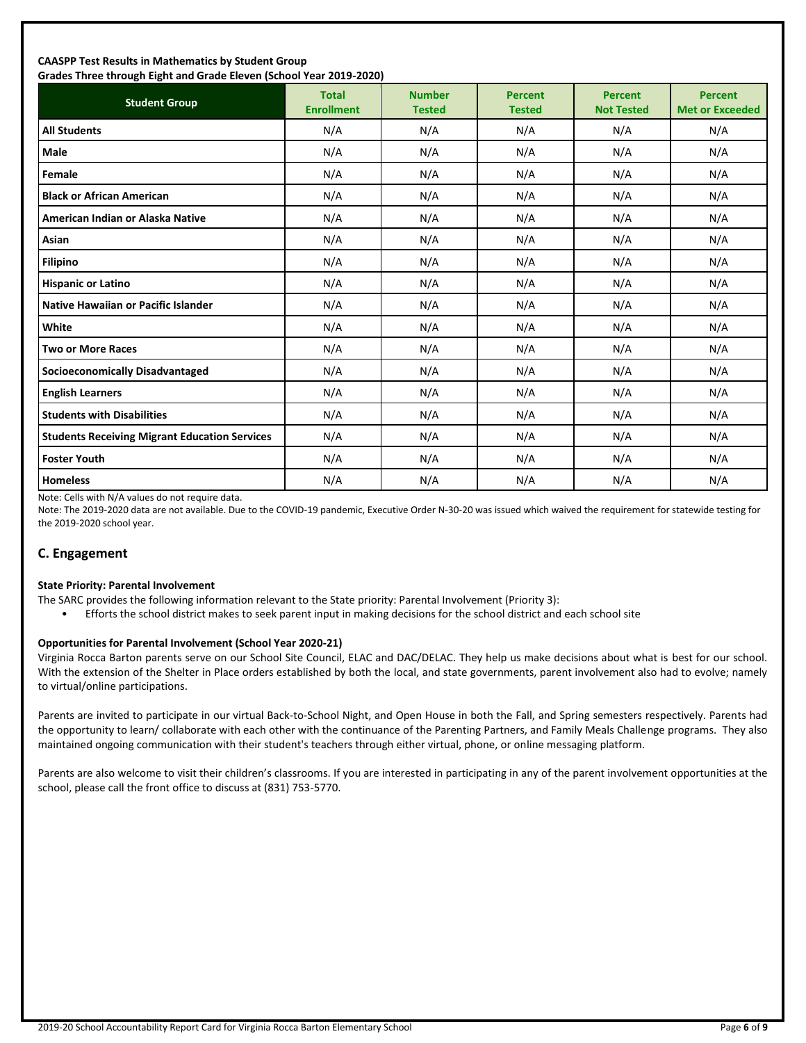#### **CAASPP Test Results in Mathematics by Student Group Grades Three through Eight and Grade Eleven (School Year 2019-2020)**

| Grades Timed through Eight and Grade Eleven (School Tear 2015-2020)<br><b>Student Group</b> | <b>Total</b><br><b>Enrollment</b> | <b>Number</b><br><b>Tested</b> | <b>Percent</b><br><b>Tested</b> | <b>Percent</b><br><b>Not Tested</b> | <b>Percent</b><br><b>Met or Exceeded</b> |
|---------------------------------------------------------------------------------------------|-----------------------------------|--------------------------------|---------------------------------|-------------------------------------|------------------------------------------|
| <b>All Students</b>                                                                         | N/A                               | N/A                            | N/A                             | N/A                                 | N/A                                      |
| Male                                                                                        | N/A                               | N/A                            | N/A                             | N/A                                 | N/A                                      |
| Female                                                                                      | N/A                               | N/A                            | N/A                             | N/A                                 | N/A                                      |
| <b>Black or African American</b>                                                            | N/A                               | N/A                            | N/A                             | N/A                                 | N/A                                      |
| American Indian or Alaska Native                                                            | N/A                               | N/A                            | N/A                             | N/A                                 | N/A                                      |
| Asian                                                                                       | N/A                               | N/A                            | N/A                             | N/A                                 | N/A                                      |
| Filipino                                                                                    | N/A                               | N/A                            | N/A                             | N/A                                 | N/A                                      |
| <b>Hispanic or Latino</b>                                                                   | N/A                               | N/A                            | N/A                             | N/A                                 | N/A                                      |
| <b>Native Hawaiian or Pacific Islander</b>                                                  | N/A                               | N/A                            | N/A                             | N/A                                 | N/A                                      |
| White                                                                                       | N/A                               | N/A                            | N/A                             | N/A                                 | N/A                                      |
| <b>Two or More Races</b>                                                                    | N/A                               | N/A                            | N/A                             | N/A                                 | N/A                                      |
| <b>Socioeconomically Disadvantaged</b>                                                      | N/A                               | N/A                            | N/A                             | N/A                                 | N/A                                      |
| <b>English Learners</b>                                                                     | N/A                               | N/A                            | N/A                             | N/A                                 | N/A                                      |
| <b>Students with Disabilities</b>                                                           | N/A                               | N/A                            | N/A                             | N/A                                 | N/A                                      |
| <b>Students Receiving Migrant Education Services</b>                                        | N/A                               | N/A                            | N/A                             | N/A                                 | N/A                                      |
| <b>Foster Youth</b>                                                                         | N/A                               | N/A                            | N/A                             | N/A                                 | N/A                                      |
| <b>Homeless</b>                                                                             | N/A                               | N/A                            | N/A                             | N/A                                 | N/A                                      |

Note: Cells with N/A values do not require data.

Note: The 2019-2020 data are not available. Due to the COVID-19 pandemic, Executive Order N-30-20 was issued which waived the requirement for statewide testing for the 2019-2020 school year.

## **C. Engagement**

#### **State Priority: Parental Involvement**

- The SARC provides the following information relevant to the State priority: Parental Involvement (Priority 3):
	- Efforts the school district makes to seek parent input in making decisions for the school district and each school site

#### **Opportunities for Parental Involvement (School Year 2020-21)**

Virginia Rocca Barton parents serve on our School Site Council, ELAC and DAC/DELAC. They help us make decisions about what is best for our school. With the extension of the Shelter in Place orders established by both the local, and state governments, parent involvement also had to evolve; namely to virtual/online participations.

Parents are invited to participate in our virtual Back-to-School Night, and Open House in both the Fall, and Spring semesters respectively. Parents had the opportunity to learn/ collaborate with each other with the continuance of the Parenting Partners, and Family Meals Challenge programs. They also maintained ongoing communication with their student's teachers through either virtual, phone, or online messaging platform.

Parents are also welcome to visit their children's classrooms. If you are interested in participating in any of the parent involvement opportunities at the school, please call the front office to discuss at (831) 753-5770.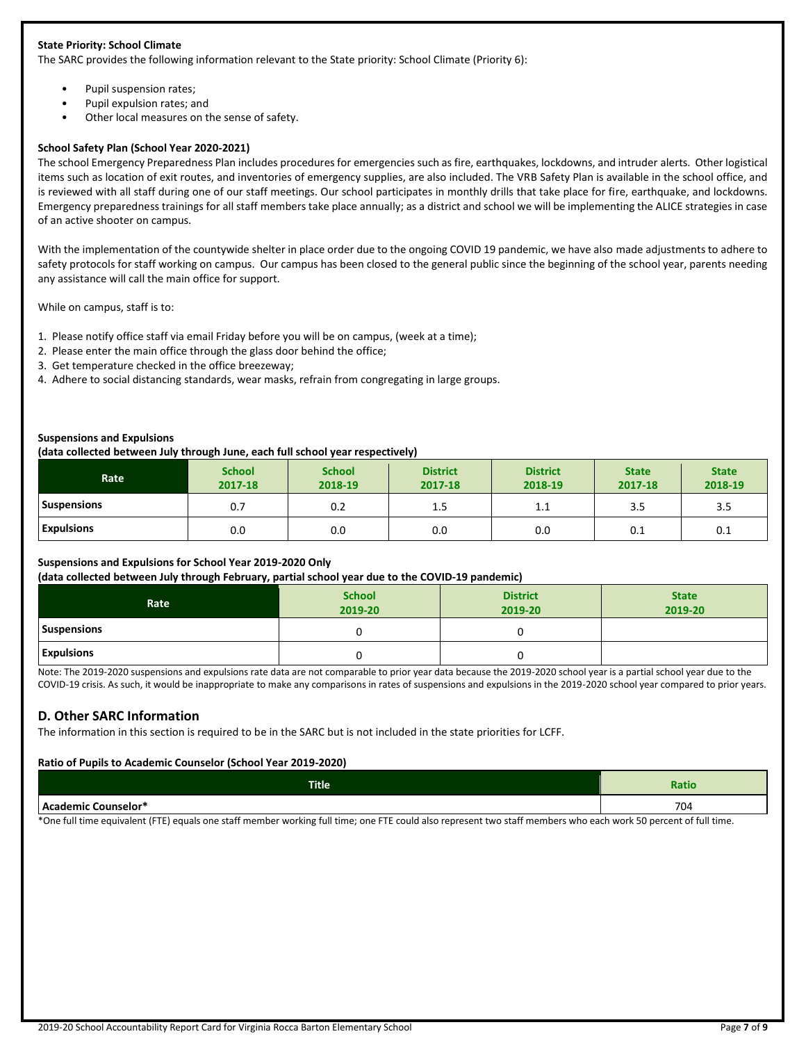## **State Priority: School Climate**

The SARC provides the following information relevant to the State priority: School Climate (Priority 6):

- Pupil suspension rates;
- Pupil expulsion rates; and
- Other local measures on the sense of safety.

#### **School Safety Plan (School Year 2020-2021)**

The school Emergency Preparedness Plan includes procedures for emergencies such as fire, earthquakes, lockdowns, and intruder alerts. Other logistical items such as location of exit routes, and inventories of emergency supplies, are also included. The VRB Safety Plan is available in the school office, and is reviewed with all staff during one of our staff meetings. Our school participates in monthly drills that take place for fire, earthquake, and lockdowns. Emergency preparedness trainings for all staff members take place annually; as a district and school we will be implementing the ALICE strategies in case of an active shooter on campus.

With the implementation of the countywide shelter in place order due to the ongoing COVID 19 pandemic, we have also made adjustments to adhere to safety protocols for staff working on campus. Our campus has been closed to the general public since the beginning of the school year, parents needing any assistance will call the main office for support.

While on campus, staff is to:

- 1. Please notify office staff via email Friday before you will be on campus, (week at a time);
- 2. Please enter the main office through the glass door behind the office;
- 3. Get temperature checked in the office breezeway;
- 4. Adhere to social distancing standards, wear masks, refrain from congregating in large groups.

#### **Suspensions and Expulsions**

#### **(data collected between July through June, each full school year respectively)**

| Rate               | <b>School</b><br>2017-18 | <b>School</b><br>2018-19 | <b>District</b><br>2017-18 | <b>District</b><br>2018-19 | <b>State</b><br>2017-18 | <b>State</b><br>2018-19 |
|--------------------|--------------------------|--------------------------|----------------------------|----------------------------|-------------------------|-------------------------|
| <b>Suspensions</b> | 0.7                      | 0.2                      | 1.5                        | <b></b>                    | 3.5                     | 3.5                     |
| <b>Expulsions</b>  | 0.0                      | 0.0                      | 0.0                        | 0.0                        | 0.1                     | 0.1                     |

## **Suspensions and Expulsions for School Year 2019-2020 Only**

#### **(data collected between July through February, partial school year due to the COVID-19 pandemic)**

| Rate              | <b>School</b><br>2019-20 | <b>District</b><br>2019-20 | <b>State</b><br>2019-20 |
|-------------------|--------------------------|----------------------------|-------------------------|
| Suspensions       |                          |                            |                         |
| <b>Expulsions</b> |                          |                            |                         |

Note: The 2019-2020 suspensions and expulsions rate data are not comparable to prior year data because the 2019-2020 school year is a partial school year due to the COVID-19 crisis. As such, it would be inappropriate to make any comparisons in rates of suspensions and expulsions in the 2019-2020 school year compared to prior years.

## **D. Other SARC Information**

The information in this section is required to be in the SARC but is not included in the state priorities for LCFF.

#### **Ratio of Pupils to Academic Counselor (School Year 2019-2020)**

| <b>Title</b>                       | -<br>Raulo |
|------------------------------------|------------|
| .counselor<br>л<br>$-0.00000$<br>- | 704        |

\*One full time equivalent (FTE) equals one staff member working full time; one FTE could also represent two staff members who each work 50 percent of full time.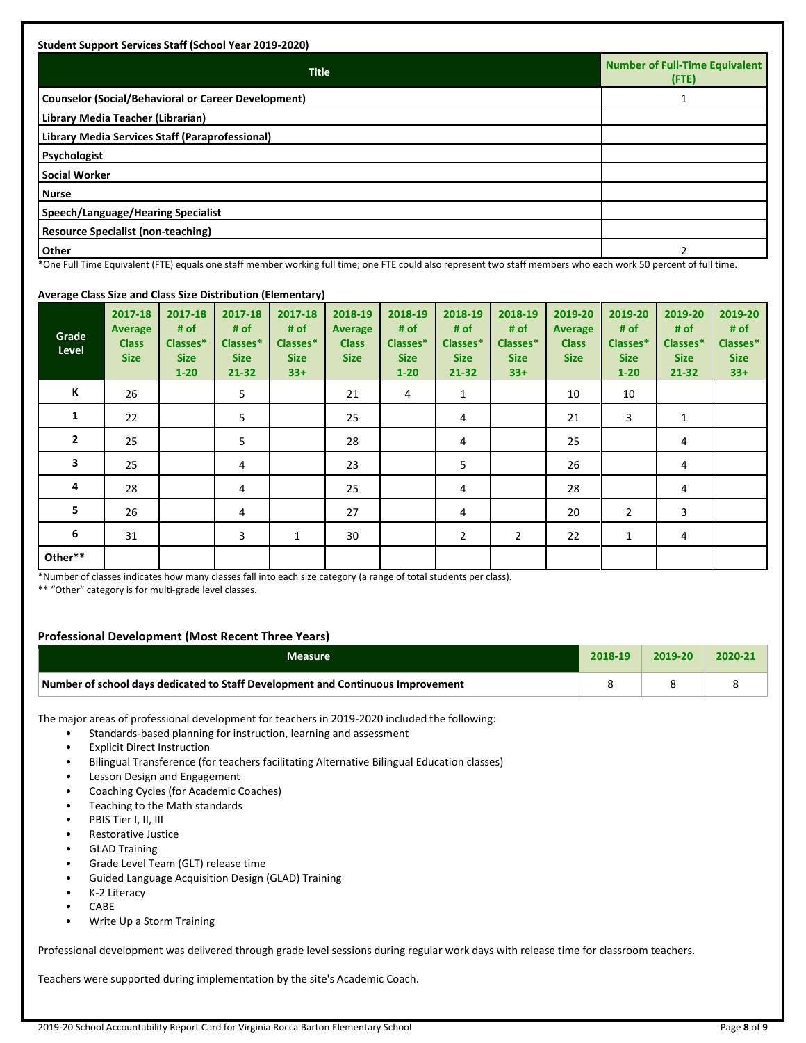| <b>Title</b>                                               | <b>Number of Full-Time Equivalent</b><br>$($ FTE $)$ |
|------------------------------------------------------------|------------------------------------------------------|
| <b>Counselor (Social/Behavioral or Career Development)</b> |                                                      |
| Library Media Teacher (Librarian)                          |                                                      |
| Library Media Services Staff (Paraprofessional)            |                                                      |
| Psychologist                                               |                                                      |
| <b>Social Worker</b>                                       |                                                      |
| <b>Nurse</b>                                               |                                                      |
| Speech/Language/Hearing Specialist                         |                                                      |
| <b>Resource Specialist (non-teaching)</b>                  |                                                      |
| Other                                                      |                                                      |

als one staff member working full time; one FTE could also represent two staff members who each work 50 percent of full time.

## **Average Class Size and Class Size Distribution (Elementary)**

| Grade<br>Level | 2017-18<br><b>Average</b><br><b>Class</b><br><b>Size</b> | 2017-18<br># of<br>Classes*<br><b>Size</b><br>$1 - 20$ | 2017-18<br># of<br>Classes*<br><b>Size</b><br>$21 - 32$ | 2017-18<br># of<br>Classes*<br><b>Size</b><br>$33+$ | 2018-19<br><b>Average</b><br><b>Class</b><br><b>Size</b> | 2018-19<br># $of$<br>Classes*<br><b>Size</b><br>$1 - 20$ | 2018-19<br># $of$<br>Classes*<br><b>Size</b><br>21-32 | 2018-19<br># of<br>Classes*<br><b>Size</b><br>$33+$ | 2019-20<br><b>Average</b><br><b>Class</b><br><b>Size</b> | 2019-20<br># of<br>Classes*<br><b>Size</b><br>$1 - 20$ | 2019-20<br># of<br>Classes*<br><b>Size</b><br>$21 - 32$ | 2019-20<br># of<br>Classes*<br><b>Size</b><br>$33+$ |
|----------------|----------------------------------------------------------|--------------------------------------------------------|---------------------------------------------------------|-----------------------------------------------------|----------------------------------------------------------|----------------------------------------------------------|-------------------------------------------------------|-----------------------------------------------------|----------------------------------------------------------|--------------------------------------------------------|---------------------------------------------------------|-----------------------------------------------------|
| К              | 26                                                       |                                                        | 5                                                       |                                                     | 21                                                       | $\overline{4}$                                           | $\mathbf{1}$                                          |                                                     | 10                                                       | 10                                                     |                                                         |                                                     |
| 1              | 22                                                       |                                                        | 5                                                       |                                                     | 25                                                       |                                                          | 4                                                     |                                                     | 21                                                       | 3                                                      | 1                                                       |                                                     |
| $\overline{2}$ | 25                                                       |                                                        | 5                                                       |                                                     | 28                                                       |                                                          | 4                                                     |                                                     | 25                                                       |                                                        | 4                                                       |                                                     |
| 3              | 25                                                       |                                                        | 4                                                       |                                                     | 23                                                       |                                                          | 5                                                     |                                                     | 26                                                       |                                                        | 4                                                       |                                                     |
| 4              | 28                                                       |                                                        | 4                                                       |                                                     | 25                                                       |                                                          | 4                                                     |                                                     | 28                                                       |                                                        | 4                                                       |                                                     |
| 5              | 26                                                       |                                                        | 4                                                       |                                                     | 27                                                       |                                                          | 4                                                     |                                                     | 20                                                       | $\overline{2}$                                         | 3                                                       |                                                     |
| 6              | 31                                                       |                                                        | 3                                                       | 1                                                   | 30                                                       |                                                          | $\overline{2}$                                        | $\overline{2}$                                      | 22                                                       | 1                                                      | 4                                                       |                                                     |
| Other**        |                                                          |                                                        |                                                         |                                                     |                                                          |                                                          |                                                       |                                                     |                                                          |                                                        |                                                         |                                                     |

\*Number of classes indicates how many classes fall into each size category (a range of total students per class).

\*\* "Other" category is for multi-grade level classes.

## **Professional Development (Most Recent Three Years)**

| Measure.                                                                        | 2018-19 | $7019 - 20$ | 2020-21 |
|---------------------------------------------------------------------------------|---------|-------------|---------|
| Number of school days dedicated to Staff Development and Continuous Improvement |         |             |         |

The major areas of professional development for teachers in 2019-2020 included the following:

- Standards-based planning for instruction, learning and assessment
- **Explicit Direct Instruction**
- Bilingual Transference (for teachers facilitating Alternative Bilingual Education classes)
- Lesson Design and Engagement
- Coaching Cycles (for Academic Coaches)
- Teaching to the Math standards
- PBIS Tier I, II, III
- Restorative Justice
- GLAD Training
- Grade Level Team (GLT) release time
- Guided Language Acquisition Design (GLAD) Training
- K-2 Literacy
- CABE
- Write Up a Storm Training

Professional development was delivered through grade level sessions during regular work days with release time for classroom teachers.

Teachers were supported during implementation by the site's Academic Coach.